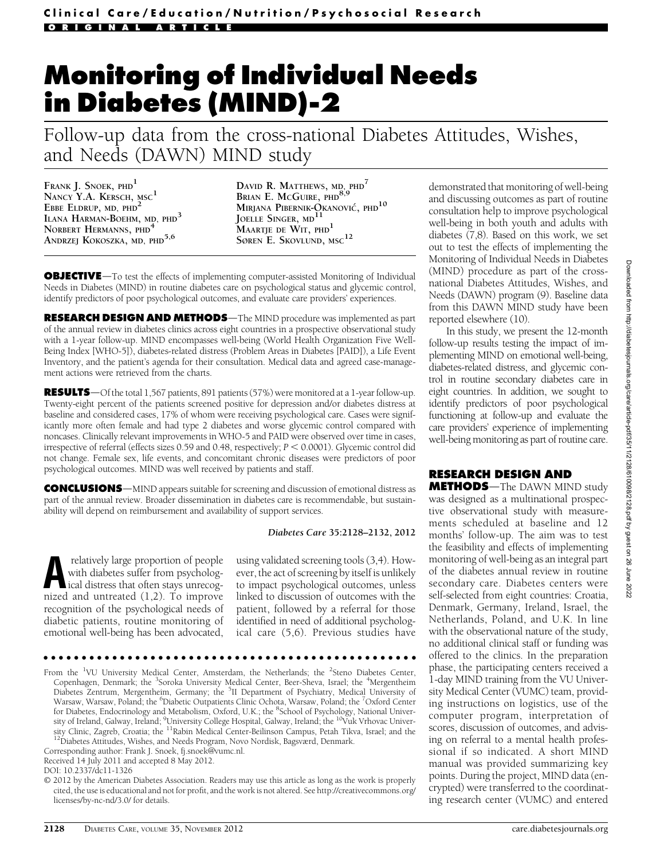# Monitoring of Individual Needs in Diabetes (MIND)-2

Follow-up data from the cross-national Diabetes Attitudes, Wishes, and Needs (DAWN) MIND study

FRANK J. SNOEK, PHD<sup>1</sup> NANCY Y.A. KERSCH, MSC<sup>1</sup> EBBE ELDRUP, MD, PHD<sup>2</sup> ILANA HARMAN-BOEHM, MD, PHD<sup>3</sup> NORBERT HERMANNS, PHD<sup>4</sup> ANDRZEJ KOKOSZKA, MD, PHD<sup>5,6</sup>

DAVID R. MATTHEWS, MD, PHD<sup>7</sup> BRIAN E. McGUIRE, PHD<sup>8</sup> MIRJANA PIBERNIK-QKANOVIĆ, PHD<sup>10</sup> JOELLE SINGER, MD<sup>11</sup> MAARTJE DE WIT, PHD<sup>1</sup> SØREN E. SKOVLUND, MSC<sup>12</sup>

**OBJECTIVE**—To test the effects of implementing computer-assisted Monitoring of Individual Needs in Diabetes (MIND) in routine diabetes care on psychological status and glycemic control, identify predictors of poor psychological outcomes, and evaluate care providers' experiences.

RESEARCH DESIGN AND METHODS-The MIND procedure was implemented as part of the annual review in diabetes clinics across eight countries in a prospective observational study with a 1-year follow-up. MIND encompasses well-being (World Health Organization Five Well-Being Index [WHO-5]), diabetes-related distress (Problem Areas in Diabetes [PAID]), a Life Event Inventory, and the patient's agenda for their consultation. Medical data and agreed case-management actions were retrieved from the charts.

**RESULTS**—Of the total 1,567 patients, 891 patients (57%) were monitored at a 1-year follow-up. Twenty-eight percent of the patients screened positive for depression and/or diabetes distress at baseline and considered cases, 17% of whom were receiving psychological care. Cases were significantly more often female and had type 2 diabetes and worse glycemic control compared with noncases. Clinically relevant improvements in WHO-5 and PAID were observed over time in cases, irrespective of referral (effects sizes  $0.59$  and  $0.48$ , respectively;  $P < 0.0001$ ). Glycemic control did not change. Female sex, life events, and concomitant chronic diseases were predictors of poor psychological outcomes. MIND was well received by patients and staff.

**CONCLUSIONS**—MIND appears suitable for screening and discussion of emotional distress as part of the annual review. Broader dissemination in diabetes care is recommendable, but sustainability will depend on reimbursement and availability of support services.

#### Diabetes Care 35:2128–2132, 2012

relatively large proportion of people<br>
with diabetes suffer from psycholog-<br>
ical distress that often stays unrecog-<br>
nized and untreated (1.2). To improve with diabetes suffer from psycholognized and untreated (1,2). To improve recognition of the psychological needs of diabetic patients, routine monitoring of emotional well-being has been advocated,

using validated screening tools (3,4). However, the act of screening by itself is unlikely to impact psychological outcomes, unless linked to discussion of outcomes with the patient, followed by a referral for those identified in need of additional psychological care (5,6). Previous studies have

#### ccccccccccccccccccccccccccccccccccccccccccccccccc

From the <sup>1</sup>VU University Medical Center, Amsterdam, the Netherlands; the <sup>2</sup>Steno Diabetes Center, Copenhagen, Denmark; the <sup>3</sup>Soroka University Medical Center, Beer-Sheva, Israel; the <sup>4</sup>Mergentheim Diabetes Zentrum, Mergentheim, Germany; the <sup>5</sup>II Department of Psychiatry, Medical University of Warsaw, Warsaw, Poland; the <sup>6</sup>Diabetic Outpatients Clinic Ochota, Warsaw, Poland; the <sup>7</sup>Oxford Center for Diabetes, Endocrinology and Metabolism, Oxford, U.K.; the <sup>8</sup>School of Psychology, National University of Ireland, Galway, Ireland; <sup>9</sup>University College Hospital, Galway, Ireland; the <sup>10</sup>Vuk Vrhovac University Clinic, Zagreb, Croatia; the <sup>11</sup>Rabin Medical Center-Beilinson Campus, Petah Tikva, Israel; and the <sup>12</sup>Diabetes Attitudes, Wishes, and Needs Program, Novo Nordisk, Bagsværd, Denmark.

Corresponding author: Frank J. Snoek, [fj.snoek@vumc.nl](mailto:fj.snoek@vumc.nl).

Received 14 July 2011 and accepted 8 May 2012.

DOI: 10.2337/dc11-1326

© 2012 by the American Diabetes Association. Readers may use this article as long as the work is properly cited, the use is educational and not for profit, and the work is not altered. See [http://creativecommons.org/](http://creativecommons.org/licenses/by-nc-nd/3.0/) [licenses/by-nc-nd/3.0/](http://creativecommons.org/licenses/by-nc-nd/3.0/) for details.

demonstrated that monitoring of well-being and discussing outcomes as part of routine consultation help to improve psychological well-being in both youth and adults with diabetes (7,8). Based on this work, we set out to test the effects of implementing the Monitoring of Individual Needs in Diabetes (MIND) procedure as part of the crossnational Diabetes Attitudes, Wishes, and Needs (DAWN) program (9). Baseline data from this DAWN MIND study have been reported elsewhere (10).

In this study, we present the 12-month follow-up results testing the impact of implementing MIND on emotional well-being, diabetes-related distress, and glycemic control in routine secondary diabetes care in eight countries. In addition, we sought to identify predictors of poor psychological functioning at follow-up and evaluate the care providers' experience of implementing well-being monitoring as part of routine care.

## RESEARCH DESIGN AND

**METHODS**—The DAWN MIND study was designed as a multinational prospective observational study with measurements scheduled at baseline and 12 months' follow-up. The aim was to test the feasibility and effects of implementing monitoring of well-being as an integral part of the diabetes annual review in routine secondary care. Diabetes centers were self-selected from eight countries: Croatia, Denmark, Germany, Ireland, Israel, the Netherlands, Poland, and U.K. In line with the observational nature of the study, no additional clinical staff or funding was offered to the clinics. In the preparation phase, the participating centers received a 1-day MIND training from the VU University Medical Center (VUMC) team, providing instructions on logistics, use of the computer program, interpretation of scores, discussion of outcomes, and advising on referral to a mental health professional if so indicated. A short MIND manual was provided summarizing key points. During the project, MIND data (encrypted) were transferred to the coordinating research center (VUMC) and entered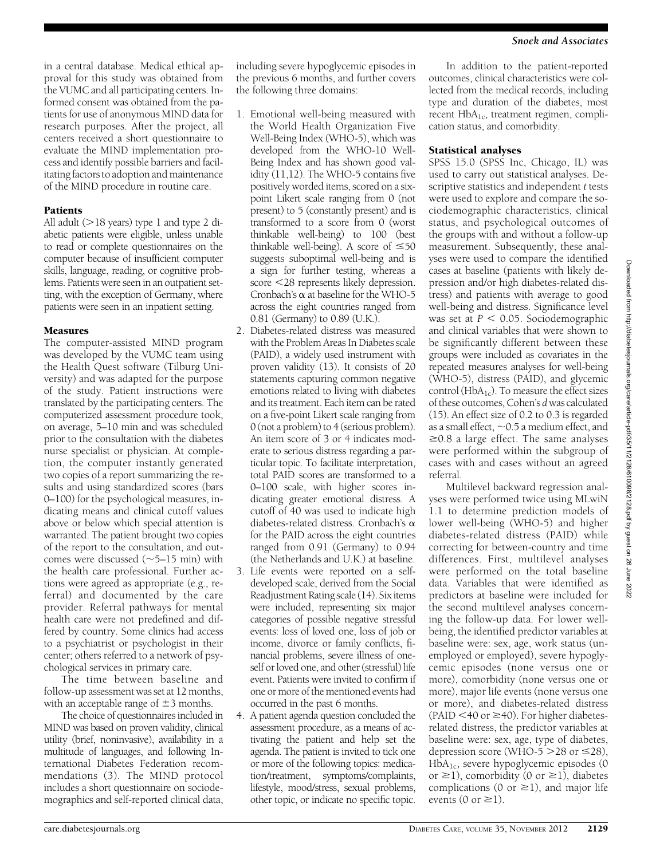in a central database. Medical ethical approval for this study was obtained from the VUMC and all participating centers. Informed consent was obtained from the patients for use of anonymous MIND data for research purposes. After the project, all centers received a short questionnaire to evaluate the MIND implementation process and identify possible barriers and facilitating factors to adoption and maintenance of the MIND procedure in routine care.

## Patients

All adult  $(>18$  years) type 1 and type 2 diabetic patients were eligible, unless unable to read or complete questionnaires on the computer because of insufficient computer skills, language, reading, or cognitive problems. Patients were seen in an outpatient setting, with the exception of Germany, where patients were seen in an inpatient setting.

# **Measures**

The computer-assisted MIND program was developed by the VUMC team using the Health Quest software (Tilburg University) and was adapted for the purpose of the study. Patient instructions were translated by the participating centers. The computerized assessment procedure took, on average, 5–10 min and was scheduled prior to the consultation with the diabetes nurse specialist or physician. At completion, the computer instantly generated two copies of a report summarizing the results and using standardized scores (bars 0–100) for the psychological measures, indicating means and clinical cutoff values above or below which special attention is warranted. The patient brought two copies of the report to the consultation, and outcomes were discussed  $(\sim]5-15$  min) with the health care professional. Further actions were agreed as appropriate (e.g., referral) and documented by the care provider. Referral pathways for mental health care were not predefined and differed by country. Some clinics had access to a psychiatrist or psychologist in their center; others referred to a network of psychological services in primary care.

The time between baseline and follow-up assessment was set at 12 months, with an acceptable range of  $\pm$ 3 months.

The choice of questionnaires included in MIND was based on proven validity, clinical utility (brief, noninvasive), availability in a multitude of languages, and following International Diabetes Federation recommendations (3). The MIND protocol includes a short questionnaire on sociodemographics and self-reported clinical data,

including severe hypoglycemic episodes in the previous 6 months, and further covers the following three domains:

- 1. Emotional well-being measured with the World Health Organization Five Well-Being Index (WHO-5), which was developed from the WHO-10 Well-Being Index and has shown good validity (11,12). The WHO-5 contains five positively worded items, scored on a sixpoint Likert scale ranging from 0 (not present) to 5 (constantly present) and is transformed to a score from 0 (worst thinkable well-being) to 100 (best thinkable well-being). A score of  $\leq 50$ suggests suboptimal well-being and is a sign for further testing, whereas a score <28 represents likely depression. Cronbach's  $\alpha$  at baseline for the WHO-5 across the eight countries ranged from 0.81 (Germany) to 0.89 (U.K.).
- 2. Diabetes-related distress was measured with the Problem Areas In Diabetes scale (PAID), a widely used instrument with proven validity (13). It consists of 20 statements capturing common negative emotions related to living with diabetes and its treatment. Each item can be rated on a five-point Likert scale ranging from 0 (not a problem) to 4 (serious problem). An item score of 3 or 4 indicates moderate to serious distress regarding a particular topic. To facilitate interpretation, total PAID scores are transformed to a 0–100 scale, with higher scores indicating greater emotional distress. A cutoff of 40 was used to indicate high diabetes-related distress. Cronbach's  $\alpha$ for the PAID across the eight countries ranged from 0.91 (Germany) to 0.94 (the Netherlands and U.K.) at baseline.
- 3. Life events were reported on a selfdeveloped scale, derived from the Social Readjustment Rating scale (14). Six items were included, representing six major categories of possible negative stressful events: loss of loved one, loss of job or income, divorce or family conflicts, financial problems, severe illness of oneself or loved one, and other (stressful) life event. Patients were invited to confirm if one or more of the mentioned events had occurred in the past 6 months.
- 4. A patient agenda question concluded the assessment procedure, as a means of activating the patient and help set the agenda. The patient is invited to tick one or more of the following topics: medication/treatment, symptoms/complaints, lifestyle, mood/stress, sexual problems, other topic, or indicate no specific topic.

In addition to the patient-reported outcomes, clinical characteristics were collected from the medical records, including type and duration of the diabetes, most recent  $HbA_{1c}$ , treatment regimen, complication status, and comorbidity.

# Statistical analyses

SPSS 15.0 (SPSS Inc, Chicago, IL) was used to carry out statistical analyses. Descriptive statistics and independent t tests were used to explore and compare the sociodemographic characteristics, clinical status, and psychological outcomes of the groups with and without a follow-up measurement. Subsequently, these analyses were used to compare the identified cases at baseline (patients with likely depression and/or high diabetes-related distress) and patients with average to good well-being and distress. Significance level was set at  $P < 0.05$ . Sociodemographic and clinical variables that were shown to be significantly different between these groups were included as covariates in the repeated measures analyses for well-being (WHO-5), distress (PAID), and glycemic control ( $HbA_{1c}$ ). To measure the effect sizes of these outcomes, Cohen's dwas calculated (15). An effect size of 0.2 to 0.3 is regarded as a small effect,  $\sim$  0.5 a medium effect, and  $\geq$ 0.8 a large effect. The same analyses were performed within the subgroup of cases with and cases without an agreed referral.

Multilevel backward regression analyses were performed twice using MLwiN 1.1 to determine prediction models of lower well-being (WHO-5) and higher diabetes-related distress (PAID) while correcting for between-country and time differences. First, multilevel analyses were performed on the total baseline data. Variables that were identified as predictors at baseline were included for the second multilevel analyses concerning the follow-up data. For lower wellbeing, the identified predictor variables at baseline were: sex, age, work status (unemployed or employed), severe hypoglycemic episodes (none versus one or more), comorbidity (none versus one or more), major life events (none versus one or more), and diabetes-related distress (PAID  $<$  40 or  $\geq$  40). For higher diabetesrelated distress, the predictor variables at baseline were: sex, age, type of diabetes, depression score (WHO-5  $>$  28 or  $\leq$  28),  $HbA_{1c}$ , severe hypoglycemic episodes (0 or  $\geq$ 1), comorbidity (0 or  $\geq$ 1), diabetes complications (0 or  $\geq$ 1), and major life events (0 or  $\geq$ 1).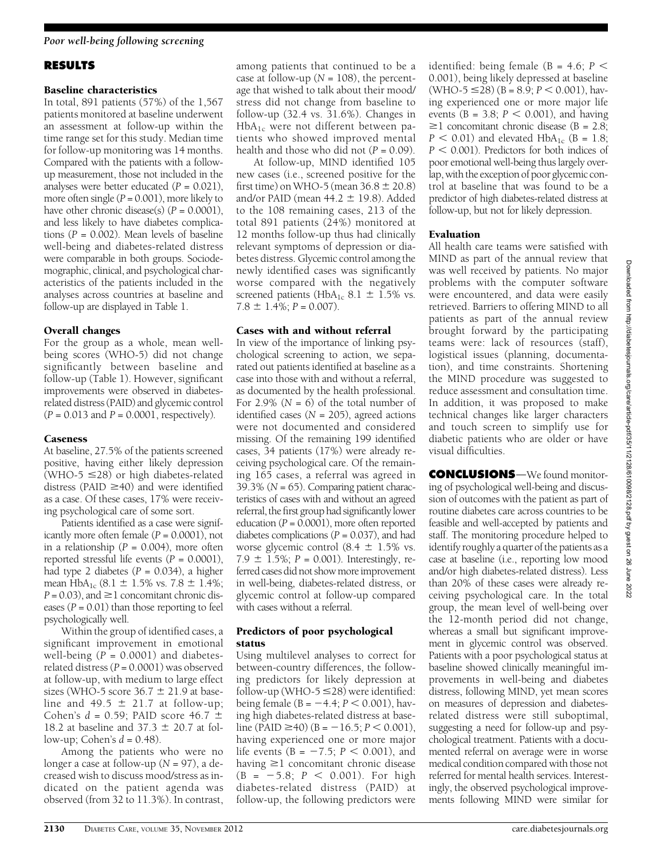#### Poor well-being following screening

## RESULTS

#### Baseline characteristics

In total, 891 patients (57%) of the 1,567 patients monitored at baseline underwent an assessment at follow-up within the time range set for this study. Median time for follow-up monitoring was 14 months. Compared with the patients with a followup measurement, those not included in the analyses were better educated  $(P = 0.021)$ , more often single  $(P = 0.001)$ , more likely to have other chronic disease(s)  $(P = 0.0001)$ , and less likely to have diabetes complications ( $P = 0.002$ ). Mean levels of baseline well-being and diabetes-related distress were comparable in both groups. Sociodemographic, clinical, and psychological characteristics of the patients included in the analyses across countries at baseline and follow-up are displayed in Table 1.

## Overall changes

For the group as a whole, mean wellbeing scores (WHO-5) did not change significantly between baseline and follow-up (Table 1). However, significant improvements were observed in diabetesrelated distress (PAID) and glycemic control  $(P = 0.013$  and  $P = 0.0001$ , respectively).

## Caseness

At baseline, 27.5% of the patients screened positive, having either likely depression (WHO-5  $\leq$ 28) or high diabetes-related distress (PAID  $\geq$ 40) and were identified as a case. Of these cases, 17% were receiving psychological care of some sort.

Patients identified as a case were significantly more often female  $(P = 0.0001)$ , not in a relationship ( $P = 0.004$ ), more often reported stressful life events  $(P = 0.0001)$ , had type 2 diabetes  $(P = 0.034)$ , a higher mean  $HbA_{1c}$  (8.1  $\pm$  1.5% vs. 7.8  $\pm$  1.4%;  $P = 0.03$ ), and  $\geq 1$  concomitant chronic diseases  $(P = 0.01)$  than those reporting to feel psychologically well.

Within the group of identified cases, a significant improvement in emotional well-being  $(P = 0.0001)$  and diabetesrelated distress  $(P = 0.0001)$  was observed at follow-up, with medium to large effect sizes (WHO-5 score  $36.7 \pm 21.9$  at baseline and 49.5  $\pm$  21.7 at follow-up; Cohen's  $d = 0.59$ ; PAID score 46.7  $\pm$ 18.2 at baseline and  $37.3 \pm 20.7$  at follow-up; Cohen's  $d = 0.48$ ).

Among the patients who were no longer a case at follow-up ( $N = 97$ ), a decreased wish to discuss mood/stress as indicated on the patient agenda was observed (from 32 to 11.3%). In contrast, among patients that continued to be a case at follow-up ( $N = 108$ ), the percentage that wished to talk about their mood/ stress did not change from baseline to follow-up (32.4 vs. 31.6%). Changes in HbA<sub>1c</sub> were not different between patients who showed improved mental health and those who did not  $(P = 0.09)$ .

At follow-up, MIND identified 105 new cases (i.e., screened positive for the first time) on WHO-5 (mean  $36.8 \pm 20.8$ ) and/or PAID (mean  $44.2 \pm 19.8$ ). Added to the 108 remaining cases, 213 of the total 891 patients (24%) monitored at 12 months follow-up thus had clinically relevant symptoms of depression or diabetes distress. Glycemic control among the newly identified cases was significantly worse compared with the negatively screened patients (HbA<sub>1c</sub> 8.1  $\pm$  1.5% vs.  $7.8 \pm 1.4\%; P = 0.007).$ 

## Cases with and without referral

In view of the importance of linking psychological screening to action, we separated out patients identified at baseline as a case into those with and without a referral, as documented by the health professional. For 2.9% ( $N = 6$ ) of the total number of identified cases ( $N = 205$ ), agreed actions were not documented and considered missing. Of the remaining 199 identified cases, 34 patients (17%) were already receiving psychological care. Of the remaining 165 cases, a referral was agreed in 39.3% ( $N = 65$ ). Comparing patient characteristics of cases with and without an agreed referral, the first group had significantly lower education  $(P = 0.0001)$ , more often reported diabetes complications  $(P = 0.037)$ , and had worse glycemic control  $(8.4 \pm 1.5\% \text{ vs.})$ 7.9  $\pm$  1.5%; P = 0.001). Interestingly, referred cases did not show more improvement in well-being, diabetes-related distress, or glycemic control at follow-up compared with cases without a referral.

#### Predictors of poor psychological status

Using multilevel analyses to correct for between-country differences, the following predictors for likely depression at follow-up (WHO-5  $\leq$ 28) were identified: being female (B =  $-4.4$ ; P < 0.001), having high diabetes-related distress at baseline (PAID  $\geq$ 40) (B = -16.5; P < 0.001), having experienced one or more major life events (B =  $-7.5$ ; P < 0.001), and having  $\geq 1$  concomitant chronic disease  $(B = -5.8; P < 0.001)$ . For high diabetes-related distress (PAID) at follow-up, the following predictors were

identified: being female (B = 4.6;  $P \leq$ 0.001), being likely depressed at baseline  $(WHO-5 \leq 28)$   $(B = 8.9; P < 0.001)$ , having experienced one or more major life events ( $B = 3.8$ ;  $P < 0.001$ ), and having  $\geq$ 1 concomitant chronic disease (B = 2.8;  $P < 0.01$ ) and elevated HbA<sub>1c</sub> (B = 1.8;  $P < 0.001$ ). Predictors for both indices of poor emotional well-being thus largely overlap, with the exception of poor glycemic control at baseline that was found to be a predictor of high diabetes-related distress at follow-up, but not for likely depression.

## Evaluation

All health care teams were satisfied with MIND as part of the annual review that was well received by patients. No major problems with the computer software were encountered, and data were easily retrieved. Barriers to offering MIND to all patients as part of the annual review brought forward by the participating teams were: lack of resources (staff), logistical issues (planning, documentation), and time constraints. Shortening the MIND procedure was suggested to reduce assessment and consultation time. In addition, it was proposed to make technical changes like larger characters and touch screen to simplify use for diabetic patients who are older or have visual difficulties.

**CONCLUSIONS**—We found monitoring of psychological well-being and discussion of outcomes with the patient as part of routine diabetes care across countries to be feasible and well-accepted by patients and staff. The monitoring procedure helped to identify roughly a quarter of the patients as a case at baseline (i.e., reporting low mood and/or high diabetes-related distress). Less than 20% of these cases were already receiving psychological care. In the total group, the mean level of well-being over the 12-month period did not change, whereas a small but significant improvement in glycemic control was observed. Patients with a poor psychological status at baseline showed clinically meaningful improvements in well-being and diabetes distress, following MIND, yet mean scores on measures of depression and diabetesrelated distress were still suboptimal, suggesting a need for follow-up and psychological treatment. Patients with a documented referral on average were in worse medical condition compared with those not referred for mental health services. Interestingly, the observed psychological improvements following MIND were similar for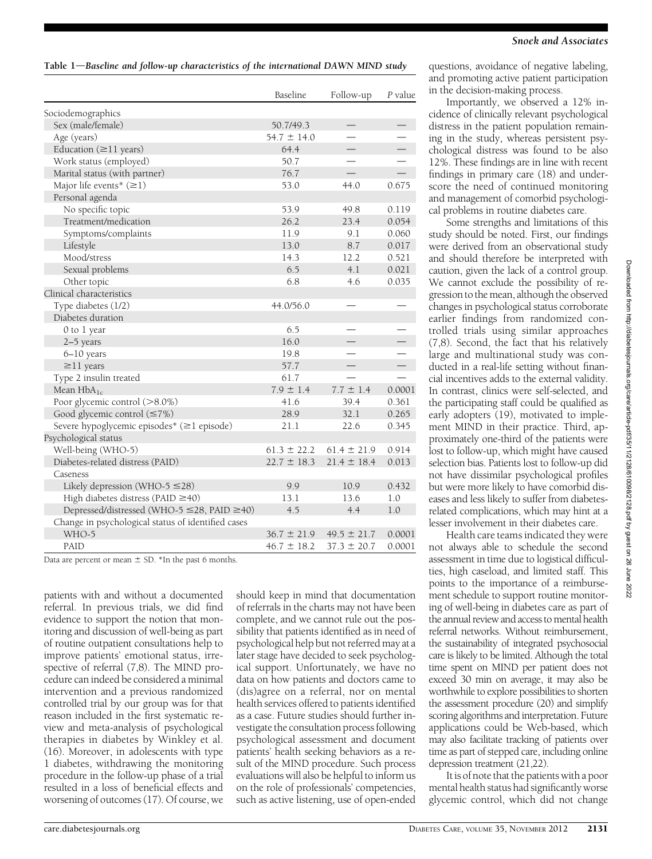## Table  $1$ —Baseline and follow-up characteristics of the international DAWN MIND study

|                                                    | Baseline        | Follow-up       | P value |
|----------------------------------------------------|-----------------|-----------------|---------|
| Sociodemographics                                  |                 |                 |         |
| Sex (male/female)                                  | 50.7/49.3       |                 |         |
| Age (years)                                        | $54.7 \pm 14.0$ |                 |         |
| Education $(\geq 11 \text{ years})$                | 64.4            |                 |         |
| Work status (employed)                             | 50.7            |                 |         |
| Marital status (with partner)                      | 76.7            |                 |         |
| Major life events* $(\geq 1)$                      | 53.0            | 44.0            | 0.675   |
| Personal agenda                                    |                 |                 |         |
| No specific topic                                  | 53.9            | 49.8            | 0.119   |
| Treatment/medication                               | 26.2            | 23.4            | 0.054   |
| Symptoms/complaints                                | 11.9            | 9.1             | 0.060   |
| Lifestyle                                          | 13.0            | 8.7             | 0.017   |
| Mood/stress                                        | 14.3            | 12.2            | 0.521   |
| Sexual problems                                    | 6.5             | 4.1             | 0.021   |
| Other topic                                        | 6.8             | 4.6             | 0.035   |
| Clinical characteristics                           |                 |                 |         |
| Type diabetes (1/2)                                | 44.0/56.0       |                 |         |
| Diabetes duration                                  |                 |                 |         |
| 0 to 1 year                                        | 6.5             |                 |         |
| 2-5 years                                          | 16.0            |                 |         |
| $6 - 10$ years                                     | 19.8            |                 |         |
| $\geq$ 11 years                                    | 57.7            |                 |         |
| Type 2 insulin treated                             | 61.7            |                 |         |
| Mean $HbA_{1c}$                                    | $7.9 \pm 1.4$   | $7.7 \pm 1.4$   | 0.0001  |
| Poor glycemic control (>8.0%)                      | 41.6            | 39.4            | 0.361   |
| Good glycemic control $(\leq 7\%)$                 | 28.9            | 32.1            | 0.265   |
| Severe hypoglycemic episodes* (≥1 episode)         | 21.1            | 22.6            | 0.345   |
| Psychological status                               |                 |                 |         |
| Well-being (WHO-5)                                 | $61.3 \pm 22.2$ | $61.4 \pm 21.9$ | 0.914   |
| Diabetes-related distress (PAID)                   | $22.7 \pm 18.3$ | $21.4 \pm 18.4$ | 0.013   |
| Caseness                                           |                 |                 |         |
| Likely depression (WHO-5 $\leq$ 28)                | 9.9             | 10.9            | 0.432   |
| High diabetes distress (PAID $\geq$ 40)            | 13.1            | 13.6            | 1.0     |
| Depressed/distressed (WHO-5 ≤28, PAID ≥40)         | 4.5             | 4.4             | 1.0     |
| Change in psychological status of identified cases |                 |                 |         |
| WHO-5                                              | $36.7 \pm 21.9$ | $49.5 \pm 21.7$ | 0.0001  |
| PAID                                               | $46.7 \pm 18.2$ | $37.3 \pm 20.7$ | 0.0001  |

Data are percent or mean  $\pm$  SD. \*In the past 6 months.

patients with and without a documented referral. In previous trials, we did find evidence to support the notion that monitoring and discussion of well-being as part of routine outpatient consultations help to improve patients' emotional status, irrespective of referral (7,8). The MIND procedure can indeed be considered a minimal intervention and a previous randomized controlled trial by our group was for that reason included in the first systematic review and meta-analysis of psychological therapies in diabetes by Winkley et al. (16). Moreover, in adolescents with type 1 diabetes, withdrawing the monitoring procedure in the follow-up phase of a trial resulted in a loss of beneficial effects and worsening of outcomes (17). Of course, we

should keep in mind that documentation of referrals in the charts may not have been complete, and we cannot rule out the possibility that patients identified as in need of psychological help but not referred may at a later stage have decided to seek psychological support. Unfortunately, we have no data on how patients and doctors came to (dis)agree on a referral, nor on mental health services offered to patients identified as a case. Future studies should further investigate the consultation process following psychological assessment and document patients' health seeking behaviors as a result of the MIND procedure. Such process evaluations will also be helpful to inform us on the role of professionals' competencies, such as active listening, use of open-ended

questions, avoidance of negative labeling, and promoting active patient participation in the decision-making process.

Importantly, we observed a 12% incidence of clinically relevant psychological distress in the patient population remaining in the study, whereas persistent psychological distress was found to be also 12%. These findings are in line with recent findings in primary care (18) and underscore the need of continued monitoring and management of comorbid psychological problems in routine diabetes care.

Some strengths and limitations of this study should be noted. First, our findings were derived from an observational study and should therefore be interpreted with caution, given the lack of a control group. We cannot exclude the possibility of regression to the mean, although the observed changes in psychological status corroborate earlier findings from randomized controlled trials using similar approaches (7,8). Second, the fact that his relatively large and multinational study was conducted in a real-life setting without financial incentives adds to the external validity. In contrast, clinics were self-selected, and the participating staff could be qualified as early adopters (19), motivated to implement MIND in their practice. Third, approximately one-third of the patients were lost to follow-up, which might have caused selection bias. Patients lost to follow-up did not have dissimilar psychological profiles but were more likely to have comorbid diseases and less likely to suffer from diabetesrelated complications, which may hint at a lesser involvement in their diabetes care.

Health care teams indicated they were not always able to schedule the second assessment in time due to logistical difficulties, high caseload, and limited staff. This points to the importance of a reimbursement schedule to support routine monitoring of well-being in diabetes care as part of the annual review and accessto mental health referral networks. Without reimbursement, the sustainability of integrated psychosocial care is likely to be limited. Although the total time spent on MIND per patient does not exceed 30 min on average, it may also be worthwhile to explore possibilities to shorten the assessment procedure (20) and simplify scoring algorithms and interpretation. Future applications could be Web-based, which may also facilitate tracking of patients over time as part of stepped care, including online depression treatment (21,22).

It is of note that the patients with a poor mental health status had significantly worse glycemic control, which did not change